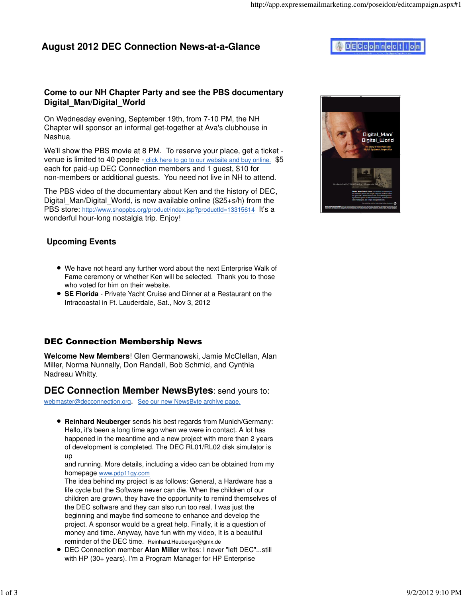## **Come to our NH Chapter Party and see the PBS documentary Digital\_Man/Digital\_World**

On Wednesday evening, September 19th, from 7-10 PM, the NH Chapter will sponsor an informal get-together at Ava's clubhouse in Nashua.

We'll show the PBS movie at 8 PM. To reserve your place, get a ticket venue is limited to 40 people - click here to go to our website and buy online. \$5 each for paid-up DEC Connection members and 1 guest, \$10 for non-members or additional guests. You need not live in NH to attend.

The PBS video of the documentary about Ken and the history of DEC, Digital Man/Digital World, is now available online (\$25+s/h) from the PBS store: http://www.shoppbs.org/product/index.jsp?productId=13315614 It's a wonderful hour-long nostalgia trip. Enjoy!



## **Upcoming Events**

- We have not heard any further word about the next Enterprise Walk of Fame ceremony or whether Ken will be selected. Thank you to those who voted for him on their website.
- **SE Florida** Private Yacht Cruise and Dinner at a Restaurant on the Intracoastal in Ft. Lauderdale, Sat., Nov 3, 2012

#### DEC Connection Membership News

**Welcome New Members**! Glen Germanowski, Jamie McClellan, Alan Miller, Norma Nunnally, Don Randall, Bob Schmid, and Cynthia Nadreau Whitty.

## **DEC Connection Member NewsBytes**: send yours to:

webmaster@decconnection.org. See our new NewsByte archive page.

**Reinhard Neuberger** sends his best regards from Munich/Germany: Hello, it's been a long time ago when we were in contact. A lot has happened in the meantime and a new project with more than 2 years of development is completed. The DEC RL01/RL02 disk simulator is up

and running. More details, including a video can be obtained from my homepage www.pdp11gy.com

The idea behind my project is as follows: General, a Hardware has a life cycle but the Software never can die. When the children of our children are grown, they have the opportunity to remind themselves of the DEC software and they can also run too real. I was just the beginning and maybe find someone to enhance and develop the project. A sponsor would be a great help. Finally, it is a question of money and time. Anyway, have fun with my video, It is a beautiful reminder of the DEC time. Reinhard.Heuberger@gmx.de

DEC Connection member **Alan Miller** writes: I never "left DEC"...still with HP (30+ years). I'm a Program Manager for HP Enterprise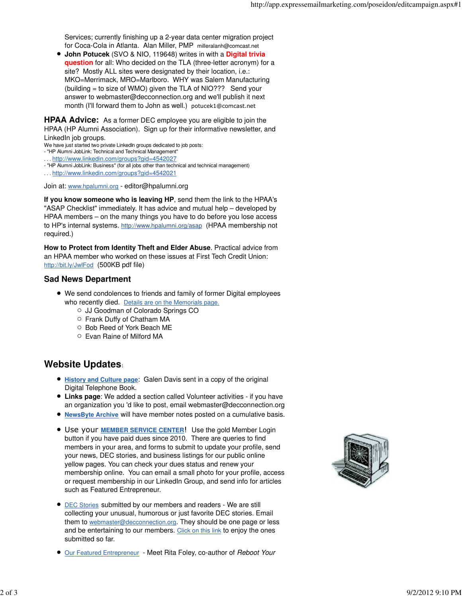Services; currently finishing up a 2-year data center migration project for Coca-Cola in Atlanta. Alan Miller, PMP milleralanh@comcast.net

**John Potucek** (SVO & NIO, 119648) writes in with a **Digital trivia question** for all: Who decided on the TLA (three-letter acronym) for a site? Mostly ALL sites were designated by their location, i.e.: MKO=Merrimack, MRO=Marlboro. WHY was Salem Manufacturing (building = to size of WMO) given the TLA of NIO??? Send your answer to webmaster@decconnection.org and we'll publish it next month (I'll forward them to John as well.) potucek1@comcast.net

**HPAA Advice:** As a former DEC employee you are eligible to join the HPAA (HP Alumni Association). Sign up for their informative newsletter, and LinkedIn job groups.

We have just started two private LinkedIn groups dedicated to job posts:

- "HP Alumni JobLink: Technical and Technical Management"

. . . http://www.linkedin.com/groups?gid=4542027

- "HP Alumni JobLink: Business" (for all jobs other than technical and technical management)

. . . http://www.linkedin.com/groups?gid=4542021

Join at: www.hpalumni.org - editor@hpalumni.org

**If you know someone who is leaving HP**, send them the link to the HPAA's "ASAP Checklist" immediately. It has advice and mutual help – developed by HPAA members – on the many things you have to do before you lose access to HP's internal systems. http://www.hpalumni.org/asap (HPAA membership not required.)

**How to Protect from Identity Theft and Elder Abuse**. Practical advice from an HPAA member who worked on these issues at First Tech Credit Union: http://bit.ly/JwlFod (500KB pdf file)

#### **Sad News Department**

- We send condolences to friends and family of former Digital employees who recently died. Details are on the Memorials page.
	- JJ Goodman of Colorado Springs CO
	- Frank Duffy of Chatham MA
	- Bob Reed of York Beach ME
	- Evan Raine of Milford MA

# **Website Updates**:

- **History and Culture page**: Galen Davis sent in a copy of the original Digital Telephone Book.
- **Links page**: We added a section called Volunteer activities if you have an organization you 'd like to post, email webmaster@decconnection.org
- **NewsByte Archive** will have member notes posted on a cumulative basis.
- Use your **MEMBER SERVICE CENTER**! Use the gold Member Login button if you have paid dues since 2010. There are queries to find members in your area, and forms to submit to update your profile, send your news, DEC stories, and business listings for our public online yellow pages. You can check your dues status and renew your membership online. You can email a small photo for your profile, access or request membership in our LinkedIn Group, and send info for articles such as Featured Entrepreneur.
- DEC Stories submitted by our members and readers We are still collecting your unusual, humorous or just favorite DEC stories. Email them to webmaster@decconnection.org. They should be one page or less and be entertaining to our members. Click on this link to enjoy the ones submitted so far.
- Our Featured Entrepreneur Meet Rita Foley, co-author of Reboot Your